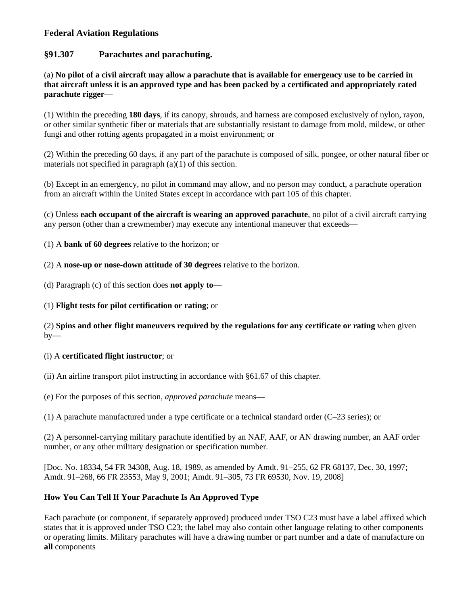# **Federal Aviation Regulations**

# **§91.307 Parachutes and parachuting.**

(a) **No pilot of a civil aircraft may allow a parachute that is available for emergency use to be carried in that aircraft unless it is an approved type and has been packed by a certificated and appropriately rated parachute rigger**—

(1) Within the preceding **180 days**, if its canopy, shrouds, and harness are composed exclusively of nylon, rayon, or other similar synthetic fiber or materials that are substantially resistant to damage from mold, mildew, or other fungi and other rotting agents propagated in a moist environment; or

(2) Within the preceding 60 days, if any part of the parachute is composed of silk, pongee, or other natural fiber or materials not specified in paragraph (a)(1) of this section.

(b) Except in an emergency, no pilot in command may allow, and no person may conduct, a parachute operation from an aircraft within the United States except in accordance with part 105 of this chapter.

(c) Unless **each occupant of the aircraft is wearing an approved parachute**, no pilot of a civil aircraft carrying any person (other than a crewmember) may execute any intentional maneuver that exceeds—

(1) A **bank of 60 degrees** relative to the horizon; or

(2) A **nose-up or nose-down attitude of 30 degrees** relative to the horizon.

(d) Paragraph (c) of this section does **not apply to**—

(1) **Flight tests for pilot certification or rating**; or

(2) **Spins and other flight maneuvers required by the regulations for any certificate or rating** when given  $by-$ 

### (i) A **certificated flight instructor**; or

(ii) An airline transport pilot instructing in accordance with §61.67 of this chapter.

(e) For the purposes of this section, *approved parachute* means—

(1) A parachute manufactured under a type certificate or a technical standard order (C–23 series); or

(2) A personnel-carrying military parachute identified by an NAF, AAF, or AN drawing number, an AAF order number, or any other military designation or specification number.

[Doc. No. 18334, 54 FR 34308, Aug. 18, 1989, as amended by Amdt. 91–255, 62 FR 68137, Dec. 30, 1997; Amdt. 91–268, 66 FR 23553, May 9, 2001; Amdt. 91–305, 73 FR 69530, Nov. 19, 2008]

# **How You Can Tell If Your Parachute Is An Approved Type**

Each parachute (or component, if separately approved) produced under TSO C23 must have a label affixed which states that it is approved under TSO C23; the label may also contain other language relating to other components or operating limits. Military parachutes will have a drawing number or part number and a date of manufacture on **all** components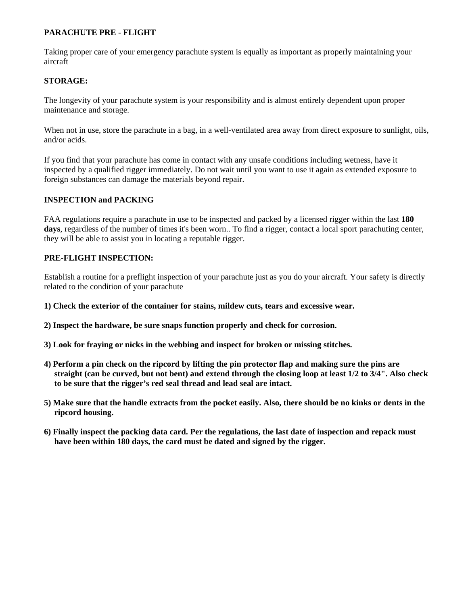### **PARACHUTE PRE - FLIGHT**

Taking proper care of your emergency parachute system is equally as important as properly maintaining your aircraft

### **STORAGE:**

The longevity of your parachute system is your responsibility and is almost entirely dependent upon proper maintenance and storage.

When not in use, store the parachute in a bag, in a well-ventilated area away from direct exposure to sunlight, oils, and/or acids.

If you find that your parachute has come in contact with any unsafe conditions including wetness, have it inspected by a qualified rigger immediately. Do not wait until you want to use it again as extended exposure to foreign substances can damage the materials beyond repair.

#### **INSPECTION and PACKING**

FAA regulations require a parachute in use to be inspected and packed by a licensed rigger within the last **180 days**, regardless of the number of times it's been worn.. To find a rigger, contact a local sport parachuting center, they will be able to assist you in locating a reputable rigger.

#### **PRE-FLIGHT INSPECTION:**

Establish a routine for a preflight inspection of your parachute just as you do your aircraft. Your safety is directly related to the condition of your parachute

- **1) Check the exterior of the container for stains, mildew cuts, tears and excessive wear.**
- **2) Inspect the hardware, be sure snaps function properly and check for corrosion.**
- **3) Look for fraying or nicks in the webbing and inspect for broken or missing stitches.**
- **4) Perform a pin check on the ripcord by lifting the pin protector flap and making sure the pins are straight (can be curved, but not bent) and extend through the closing loop at least 1/2 to 3/4". Also check to be sure that the rigger's red seal thread and lead seal are intact.**
- **5) Make sure that the handle extracts from the pocket easily. Also, there should be no kinks or dents in the ripcord housing.**
- **6) Finally inspect the packing data card. Per the regulations, the last date of inspection and repack must have been within 180 days, the card must be dated and signed by the rigger.**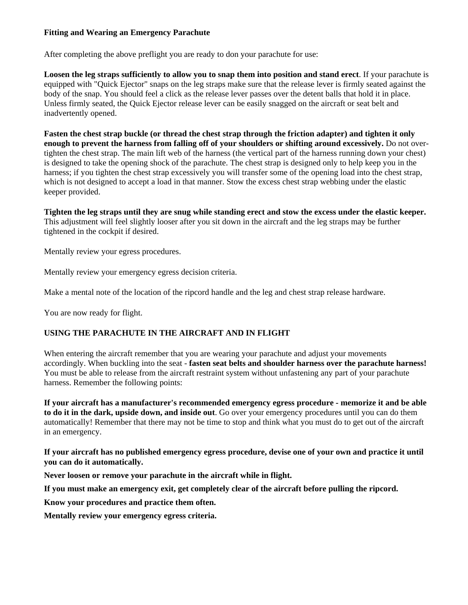### **Fitting and Wearing an Emergency Parachute**

After completing the above preflight you are ready to don your parachute for use:

**Loosen the leg straps sufficiently to allow you to snap them into position and stand erect**. If your parachute is equipped with "Quick Ejector" snaps on the leg straps make sure that the release lever is firmly seated against the body of the snap. You should feel a click as the release lever passes over the detent balls that hold it in place. Unless firmly seated, the Quick Ejector release lever can be easily snagged on the aircraft or seat belt and inadvertently opened.

**Fasten the chest strap buckle (or thread the chest strap through the friction adapter) and tighten it only enough to prevent the harness from falling off of your shoulders or shifting around excessively.** Do not overtighten the chest strap. The main lift web of the harness (the vertical part of the harness running down your chest) is designed to take the opening shock of the parachute. The chest strap is designed only to help keep you in the harness; if you tighten the chest strap excessively you will transfer some of the opening load into the chest strap, which is not designed to accept a load in that manner. Stow the excess chest strap webbing under the elastic keeper provided.

**Tighten the leg straps until they are snug while standing erect and stow the excess under the elastic keeper.**  This adjustment will feel slightly looser after you sit down in the aircraft and the leg straps may be further tightened in the cockpit if desired.

Mentally review your egress procedures.

Mentally review your emergency egress decision criteria.

Make a mental note of the location of the ripcord handle and the leg and chest strap release hardware.

You are now ready for flight.

# **USING THE PARACHUTE IN THE AIRCRAFT AND IN FLIGHT**

When entering the aircraft remember that you are wearing your parachute and adjust your movements accordingly. When buckling into the seat - **fasten seat belts and shoulder harness over the parachute harness!**  You must be able to release from the aircraft restraint system without unfastening any part of your parachute harness. Remember the following points:

**If your aircraft has a manufacturer's recommended emergency egress procedure - memorize it and be able to do it in the dark, upside down, and inside out**. Go over your emergency procedures until you can do them automatically! Remember that there may not be time to stop and think what you must do to get out of the aircraft in an emergency.

**If your aircraft has no published emergency egress procedure, devise one of your own and practice it until you can do it automatically.**

**Never loosen or remove your parachute in the aircraft while in flight.**

**If you must make an emergency exit, get completely clear of the aircraft before pulling the ripcord.**

**Know your procedures and practice them often.**

**Mentally review your emergency egress criteria.**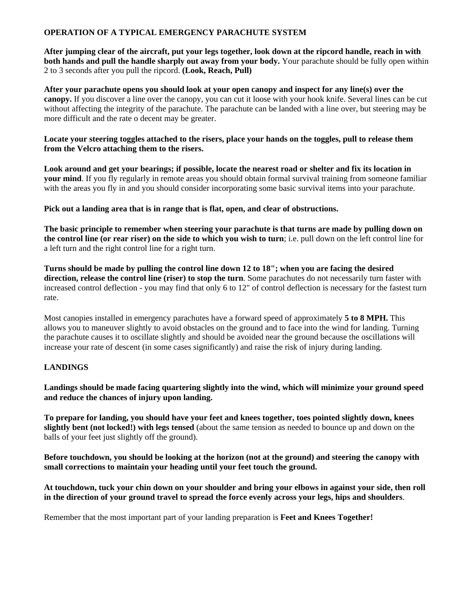### **OPERATION OF A TYPICAL EMERGENCY PARACHUTE SYSTEM**

**After jumping clear of the aircraft, put your legs together, look down at the ripcord handle, reach in with both hands and pull the handle sharply out away from your body.** Your parachute should be fully open within 2 to 3 seconds after you pull the ripcord. **(Look, Reach, Pull)**

**After your parachute opens you should look at your open canopy and inspect for any line(s) over the canopy.** If you discover a line over the canopy, you can cut it loose with your hook knife. Several lines can be cut without affecting the integrity of the parachute. The parachute can be landed with a line over, but steering may be more difficult and the rate o decent may be greater.

**Locate your steering toggles attached to the risers, place your hands on the toggles, pull to release them from the Velcro attaching them to the risers.**

**Look around and get your bearings; if possible, locate the nearest road or shelter and fix its location in your mind**. If you fly regularly in remote areas you should obtain formal survival training from someone familiar with the areas you fly in and you should consider incorporating some basic survival items into your parachute.

**Pick out a landing area that is in range that is flat, open, and clear of obstructions.**

**The basic principle to remember when steering your parachute is that turns are made by pulling down on the control line (or rear riser) on the side to which you wish to turn**; i.e. pull down on the left control line for a left turn and the right control line for a right turn.

**Turns should be made by pulling the control line down 12 to 18"; when you are facing the desired direction, release the control line (riser) to stop the turn**. Some parachutes do not necessarily turn faster with increased control deflection - you may find that only 6 to 12" of control deflection is necessary for the fastest turn rate.

Most canopies installed in emergency parachutes have a forward speed of approximately **5 to 8 MPH.** This allows you to maneuver slightly to avoid obstacles on the ground and to face into the wind for landing. Turning the parachute causes it to oscillate slightly and should be avoided near the ground because the oscillations will increase your rate of descent (in some cases significantly) and raise the risk of injury during landing.

# **LANDINGS**

**Landings should be made facing quartering slightly into the wind, which will minimize your ground speed and reduce the chances of injury upon landing.**

**To prepare for landing, you should have your feet and knees together, toes pointed slightly down, knees slightly bent (not locked!) with legs tensed** (about the same tension as needed to bounce up and down on the balls of your feet just slightly off the ground).

**Before touchdown, you should be looking at the horizon (not at the ground) and steering the canopy with small corrections to maintain your heading until your feet touch the ground.**

**At touchdown, tuck your chin down on your shoulder and bring your elbows in against your side, then roll in the direction of your ground travel to spread the force evenly across your legs, hips and shoulders**.

Remember that the most important part of your landing preparation is **Feet and Knees Together!**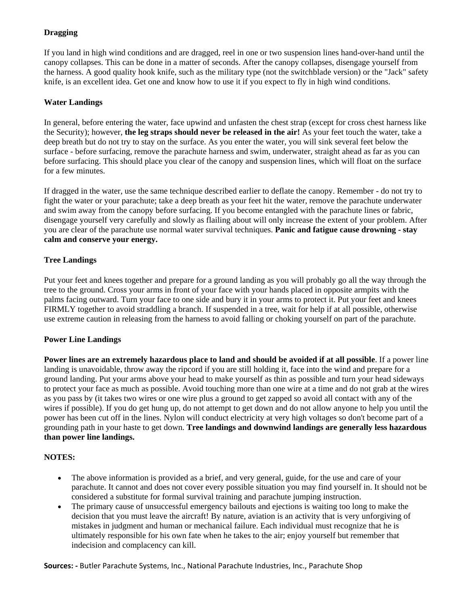# **Dragging**

If you land in high wind conditions and are dragged, reel in one or two suspension lines hand-over-hand until the canopy collapses. This can be done in a matter of seconds. After the canopy collapses, disengage yourself from the harness. A good quality hook knife, such as the military type (not the switchblade version) or the "Jack" safety knife, is an excellent idea. Get one and know how to use it if you expect to fly in high wind conditions.

## **Water Landings**

In general, before entering the water, face upwind and unfasten the chest strap (except for cross chest harness like the Security); however, **the leg straps should never be released in the air!** As your feet touch the water, take a deep breath but do not try to stay on the surface. As you enter the water, you will sink several feet below the surface - before surfacing, remove the parachute harness and swim, underwater, straight ahead as far as you can before surfacing. This should place you clear of the canopy and suspension lines, which will float on the surface for a few minutes.

If dragged in the water, use the same technique described earlier to deflate the canopy. Remember - do not try to fight the water or your parachute; take a deep breath as your feet hit the water, remove the parachute underwater and swim away from the canopy before surfacing. If you become entangled with the parachute lines or fabric, disengage yourself very carefully and slowly as flailing about will only increase the extent of your problem. After you are clear of the parachute use normal water survival techniques. **Panic and fatigue cause drowning - stay calm and conserve your energy.**

# **Tree Landings**

Put your feet and knees together and prepare for a ground landing as you will probably go all the way through the tree to the ground. Cross your arms in front of your face with your hands placed in opposite armpits with the palms facing outward. Turn your face to one side and bury it in your arms to protect it. Put your feet and knees FIRMLY together to avoid straddling a branch. If suspended in a tree, wait for help if at all possible, otherwise use extreme caution in releasing from the harness to avoid falling or choking yourself on part of the parachute.

# **Power Line Landings**

**Power lines are an extremely hazardous place to land and should be avoided if at all possible**. If a power line landing is unavoidable, throw away the ripcord if you are still holding it, face into the wind and prepare for a ground landing. Put your arms above your head to make yourself as thin as possible and turn your head sideways to protect your face as much as possible. Avoid touching more than one wire at a time and do not grab at the wires as you pass by (it takes two wires or one wire plus a ground to get zapped so avoid all contact with any of the wires if possible). If you do get hung up, do not attempt to get down and do not allow anyone to help you until the power has been cut off in the lines. Nylon will conduct electricity at very high voltages so don't become part of a grounding path in your haste to get down. **Tree landings and downwind landings are generally less hazardous than power line landings.**

# **NOTES:**

- The above information is provided as a brief, and very general, guide, for the use and care of your parachute. It cannot and does not cover every possible situation you may find yourself in. It should not be considered a substitute for formal survival training and parachute jumping instruction.
- The primary cause of unsuccessful emergency bailouts and ejections is waiting too long to make the decision that you must leave the aircraft! By nature, aviation is an activity that is very unforgiving of mistakes in judgment and human or mechanical failure. Each individual must recognize that he is ultimately responsible for his own fate when he takes to the air; enjoy yourself but remember that indecision and complacency can kill.

**Sources: -** Butler Parachute Systems, Inc., National Parachute Industries, Inc., Parachute Shop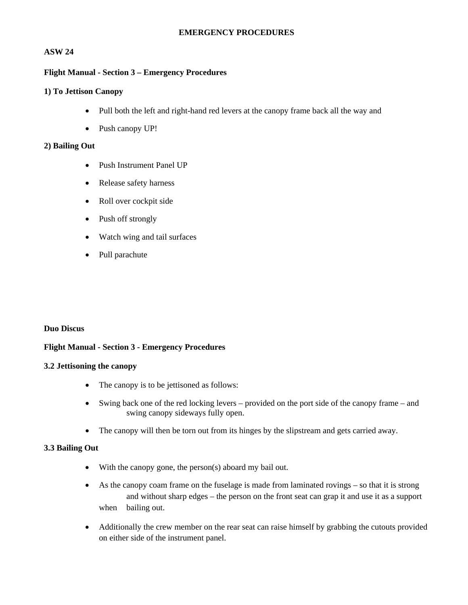### **EMERGENCY PROCEDURES**

# **ASW 24**

#### **Flight Manual - Section 3 – Emergency Procedures**

#### **1) To Jettison Canopy**

- Pull both the left and right-hand red levers at the canopy frame back all the way and
- Push canopy UP!

#### **2) Bailing Out**

- Push Instrument Panel UP
- Release safety harness
- Roll over cockpit side
- Push off strongly
- Watch wing and tail surfaces
- Pull parachute

### **Duo Discus**

### **Flight Manual - Section 3 - Emergency Procedures**

#### **3.2 Jettisoning the canopy**

- The canopy is to be jettisoned as follows:
- Swing back one of the red locking levers provided on the port side of the canopy frame and swing canopy sideways fully open.
- The canopy will then be torn out from its hinges by the slipstream and gets carried away.

### **3.3 Bailing Out**

- With the canopy gone, the person(s) aboard my bail out.
- As the canopy coam frame on the fuselage is made from laminated rovings so that it is strong and without sharp edges – the person on the front seat can grap it and use it as a support when bailing out.
- Additionally the crew member on the rear seat can raise himself by grabbing the cutouts provided on either side of the instrument panel.